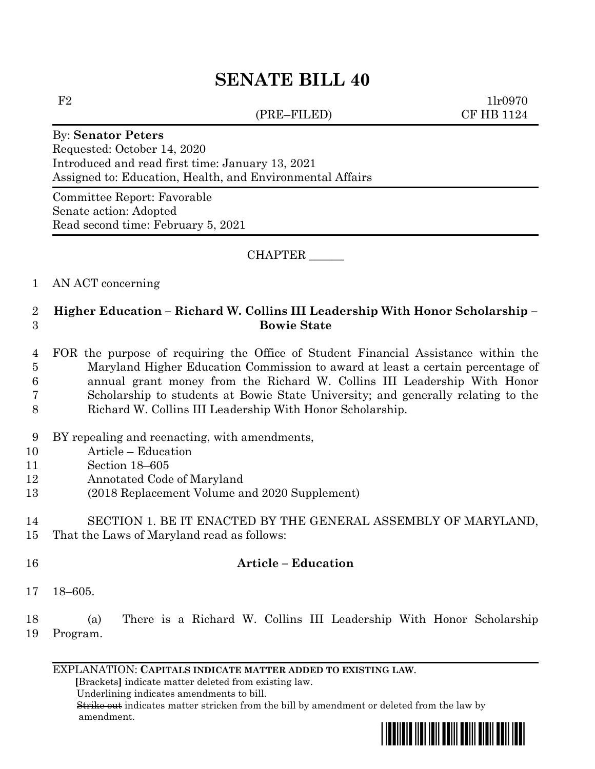# **SENATE BILL 40**

(PRE–FILED) CF HB 1124

 $F2$  1lr0970

#### By: **Senator Peters**

Requested: October 14, 2020 Introduced and read first time: January 13, 2021 Assigned to: Education, Health, and Environmental Affairs

Committee Report: Favorable Senate action: Adopted Read second time: February 5, 2021

CHAPTER \_\_\_\_\_\_

#### 1 AN ACT concerning

## 2 **Higher Education – Richard W. Collins III Leadership With Honor Scholarship –** 3 **Bowie State**

### 4 FOR the purpose of requiring the Office of Student Financial Assistance within the 5 Maryland Higher Education Commission to award at least a certain percentage of 6 annual grant money from the Richard W. Collins III Leadership With Honor 7 Scholarship to students at Bowie State University; and generally relating to the 8 Richard W. Collins III Leadership With Honor Scholarship.

- 9 BY repealing and reenacting, with amendments,
- 10 Article Education
- 11 Section 18–605
- 12 Annotated Code of Maryland
- 13 (2018 Replacement Volume and 2020 Supplement)

#### 14 SECTION 1. BE IT ENACTED BY THE GENERAL ASSEMBLY OF MARYLAND,

- 15 That the Laws of Maryland read as follows:
- 16 **Article – Education**
- 17 18–605.

### 18 (a) There is a Richard W. Collins III Leadership With Honor Scholarship 19 Program.

#### EXPLANATION: **CAPITALS INDICATE MATTER ADDED TO EXISTING LAW**.

 **[**Brackets**]** indicate matter deleted from existing law.

Underlining indicates amendments to bill.

 Strike out indicates matter stricken from the bill by amendment or deleted from the law by amendment.